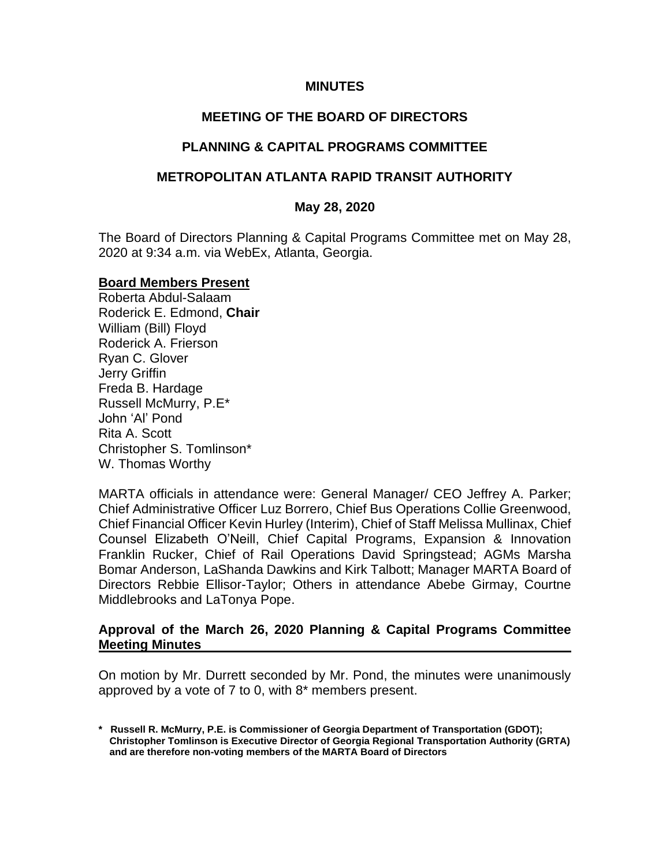### **MINUTES**

# **MEETING OF THE BOARD OF DIRECTORS**

## **PLANNING & CAPITAL PROGRAMS COMMITTEE**

## **METROPOLITAN ATLANTA RAPID TRANSIT AUTHORITY**

#### **May 28, 2020**

The Board of Directors Planning & Capital Programs Committee met on May 28, 2020 at 9:34 a.m. via WebEx, Atlanta, Georgia.

#### **Board Members Present**

Roberta Abdul-Salaam Roderick E. Edmond, **Chair** William (Bill) Floyd Roderick A. Frierson Ryan C. Glover Jerry Griffin Freda B. Hardage Russell McMurry, P.E\* John 'Al' Pond Rita A. Scott Christopher S. Tomlinson\* W. Thomas Worthy

MARTA officials in attendance were: General Manager/ CEO Jeffrey A. Parker; Chief Administrative Officer Luz Borrero, Chief Bus Operations Collie Greenwood, Chief Financial Officer Kevin Hurley (Interim), Chief of Staff Melissa Mullinax, Chief Counsel Elizabeth O'Neill, Chief Capital Programs, Expansion & Innovation Franklin Rucker, Chief of Rail Operations David Springstead; AGMs Marsha Bomar Anderson, LaShanda Dawkins and Kirk Talbott; Manager MARTA Board of Directors Rebbie Ellisor-Taylor; Others in attendance Abebe Girmay, Courtne Middlebrooks and LaTonya Pope.

### **Approval of the March 26, 2020 Planning & Capital Programs Committee Meeting Minutes**

On motion by Mr. Durrett seconded by Mr. Pond, the minutes were unanimously approved by a vote of 7 to 0, with 8\* members present.

**<sup>\*</sup> Russell R. McMurry, P.E. is Commissioner of Georgia Department of Transportation (GDOT); Christopher Tomlinson is Executive Director of Georgia Regional Transportation Authority (GRTA) and are therefore non-voting members of the MARTA Board of Directors**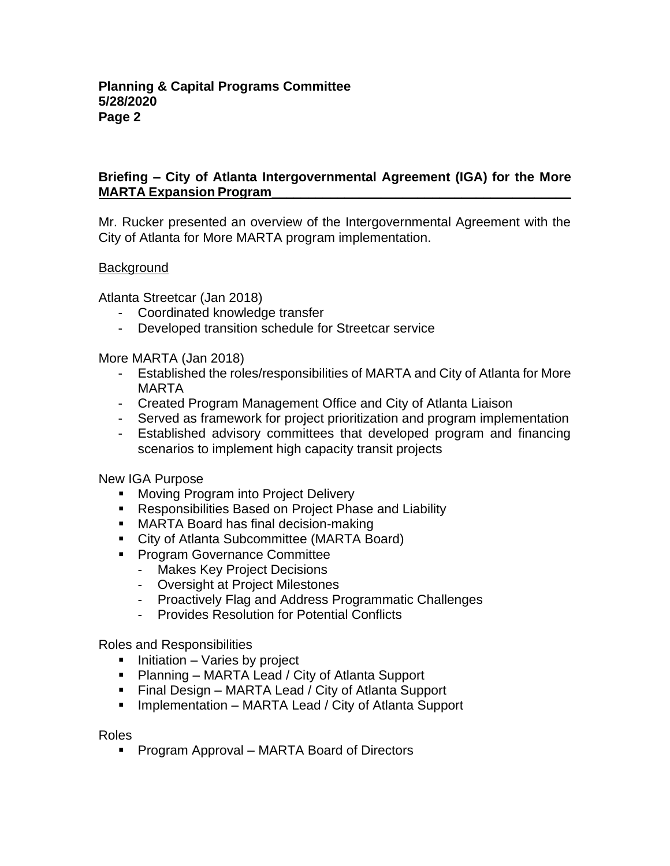# **Briefing – City of Atlanta Intergovernmental Agreement (IGA) for the More MARTA Expansion Program**

Mr. Rucker presented an overview of the Intergovernmental Agreement with the City of Atlanta for More MARTA program implementation.

### **Background**

Atlanta Streetcar (Jan 2018)

- Coordinated knowledge transfer
- Developed transition schedule for Streetcar service

More MARTA (Jan 2018)

- Established the roles/responsibilities of MARTA and City of Atlanta for More MARTA
- Created Program Management Office and City of Atlanta Liaison
- Served as framework for project prioritization and program implementation
- Established advisory committees that developed program and financing scenarios to implement high capacity transit projects

New IGA Purpose

- Moving Program into Project Delivery
- Responsibilities Based on Project Phase and Liability
- MARTA Board has final decision-making
- City of Atlanta Subcommittee (MARTA Board)
- Program Governance Committee
	- Makes Key Project Decisions
	- Oversight at Project Milestones
	- Proactively Flag and Address Programmatic Challenges
	- Provides Resolution for Potential Conflicts

Roles and Responsibilities

- Initiation Varies by project
- Planning MARTA Lead / City of Atlanta Support
- Final Design MARTA Lead / City of Atlanta Support
- Implementation MARTA Lead / City of Atlanta Support

Roles

■ Program Approval – MARTA Board of Directors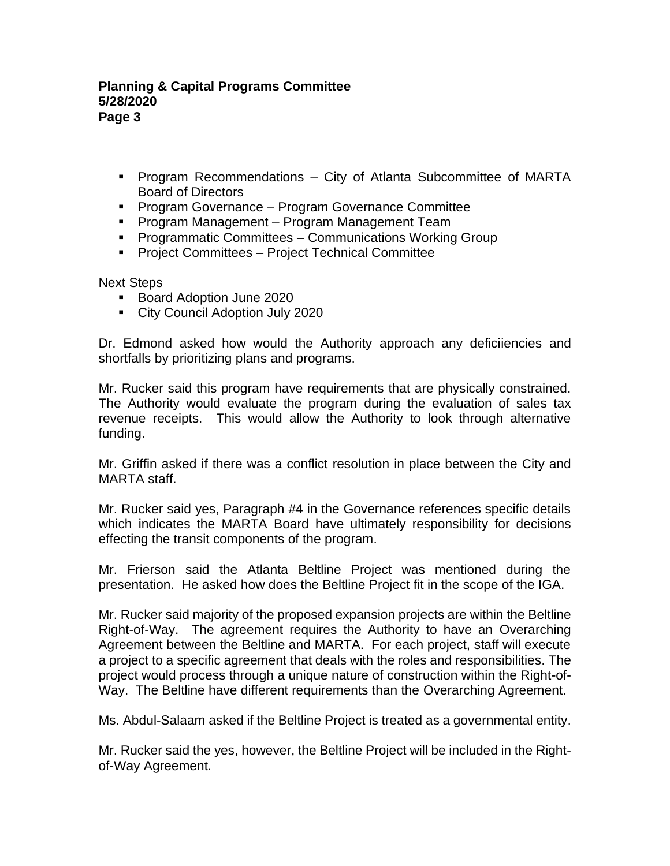## **Planning & Capital Programs Committee 5/28/2020 Page 3**

- Program Recommendations City of Atlanta Subcommittee of MARTA Board of Directors
- Program Governance Program Governance Committee
- Program Management Program Management Team
- Programmatic Committees Communications Working Group
- Project Committees Project Technical Committee

Next Steps

- Board Adoption June 2020
- City Council Adoption July 2020

Dr. Edmond asked how would the Authority approach any deficiiencies and shortfalls by prioritizing plans and programs.

Mr. Rucker said this program have requirements that are physically constrained. The Authority would evaluate the program during the evaluation of sales tax revenue receipts. This would allow the Authority to look through alternative funding.

Mr. Griffin asked if there was a conflict resolution in place between the City and MARTA staff.

Mr. Rucker said yes, Paragraph #4 in the Governance references specific details which indicates the MARTA Board have ultimately responsibility for decisions effecting the transit components of the program.

Mr. Frierson said the Atlanta Beltline Project was mentioned during the presentation. He asked how does the Beltline Project fit in the scope of the IGA.

Mr. Rucker said majority of the proposed expansion projects are within the Beltline Right-of-Way. The agreement requires the Authority to have an Overarching Agreement between the Beltline and MARTA. For each project, staff will execute a project to a specific agreement that deals with the roles and responsibilities. The project would process through a unique nature of construction within the Right-of-Way. The Beltline have different requirements than the Overarching Agreement.

Ms. Abdul-Salaam asked if the Beltline Project is treated as a governmental entity.

Mr. Rucker said the yes, however, the Beltline Project will be included in the Rightof-Way Agreement.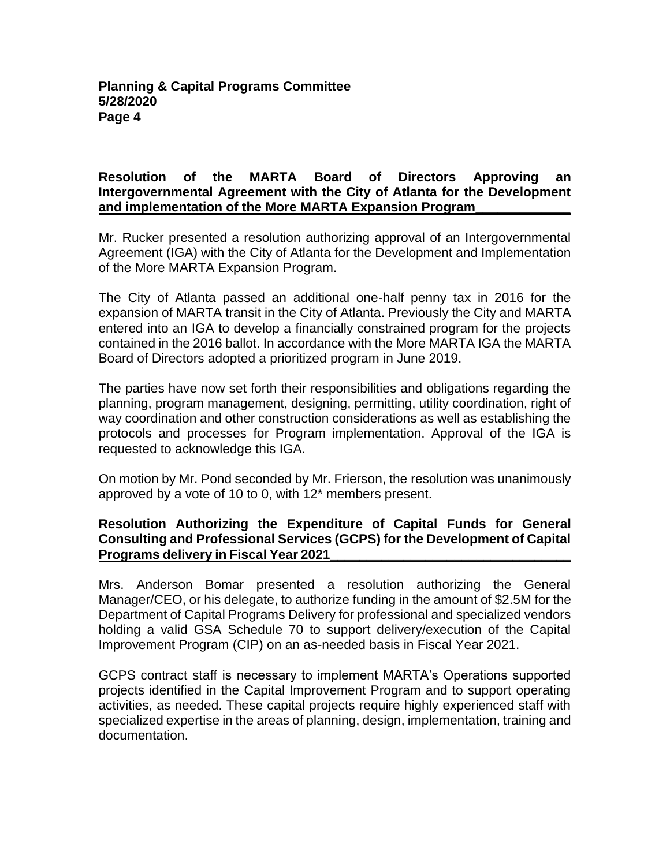## **Resolution of the MARTA Board of Directors Approving an Intergovernmental Agreement with the City of Atlanta for the Development and implementation of the More MARTA Expansion Program\_\_\_\_\_\_\_\_\_\_\_\_\_**

Mr. Rucker presented a resolution authorizing approval of an Intergovernmental Agreement (IGA) with the City of Atlanta for the Development and Implementation of the More MARTA Expansion Program.

The City of Atlanta passed an additional one-half penny tax in 2016 for the expansion of MARTA transit in the City of Atlanta. Previously the City and MARTA entered into an IGA to develop a financially constrained program for the projects contained in the 2016 ballot. In accordance with the More MARTA IGA the MARTA Board of Directors adopted a prioritized program in June 2019.

The parties have now set forth their responsibilities and obligations regarding the planning, program management, designing, permitting, utility coordination, right of way coordination and other construction considerations as well as establishing the protocols and processes for Program implementation. Approval of the IGA is requested to acknowledge this IGA.

On motion by Mr. Pond seconded by Mr. Frierson, the resolution was unanimously approved by a vote of 10 to 0, with 12\* members present.

# **Resolution Authorizing the Expenditure of Capital Funds for General Consulting and Professional Services (GCPS) for the Development of Capital Programs delivery in Fiscal Year 2021\_\_\_\_\_\_\_\_\_\_\_\_\_\_\_\_\_\_\_\_\_\_\_\_\_\_\_\_\_\_\_\_\_**

Mrs. Anderson Bomar presented a resolution authorizing the General Manager/CEO, or his delegate, to authorize funding in the amount of \$2.5M for the Department of Capital Programs Delivery for professional and specialized vendors holding a valid GSA Schedule 70 to support delivery/execution of the Capital Improvement Program (CIP) on an as-needed basis in Fiscal Year 2021.

GCPS contract staff is necessary to implement MARTA's Operations supported projects identified in the Capital Improvement Program and to support operating activities, as needed. These capital projects require highly experienced staff with specialized expertise in the areas of planning, design, implementation, training and documentation.